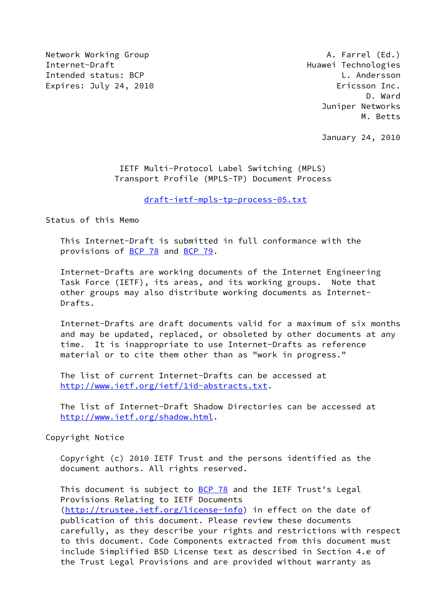Network Working Group **A. Farrel (Ed.)** Internet-Draft Huawei Technologies Intended status: BCP CONTROLL CONTROLL Andersson Expires: July 24, 2010 **Expires: July 24, 2010** 

 D. Ward Juniper Networks M. Betts

January 24, 2010

### IETF Multi-Protocol Label Switching (MPLS) Transport Profile (MPLS-TP) Document Process

[draft-ietf-mpls-tp-process-05.txt](https://datatracker.ietf.org/doc/pdf/draft-ietf-mpls-tp-process-05.txt)

Status of this Memo

 This Internet-Draft is submitted in full conformance with the provisions of [BCP 78](https://datatracker.ietf.org/doc/pdf/bcp78) and [BCP 79](https://datatracker.ietf.org/doc/pdf/bcp79).

 Internet-Drafts are working documents of the Internet Engineering Task Force (IETF), its areas, and its working groups. Note that other groups may also distribute working documents as Internet- Drafts.

 Internet-Drafts are draft documents valid for a maximum of six months and may be updated, replaced, or obsoleted by other documents at any time. It is inappropriate to use Internet-Drafts as reference material or to cite them other than as "work in progress."

 The list of current Internet-Drafts can be accessed at <http://www.ietf.org/ietf/1id-abstracts.txt>.

 The list of Internet-Draft Shadow Directories can be accessed at <http://www.ietf.org/shadow.html>.

Copyright Notice

 Copyright (c) 2010 IETF Trust and the persons identified as the document authors. All rights reserved.

This document is subject to **[BCP 78](https://datatracker.ietf.org/doc/pdf/bcp78)** and the IETF Trust's Legal Provisions Relating to IETF Documents [\(http://trustee.ietf.org/license-info](http://trustee.ietf.org/license-info)) in effect on the date of publication of this document. Please review these documents carefully, as they describe your rights and restrictions with respect to this document. Code Components extracted from this document must include Simplified BSD License text as described in Section 4.e of the Trust Legal Provisions and are provided without warranty as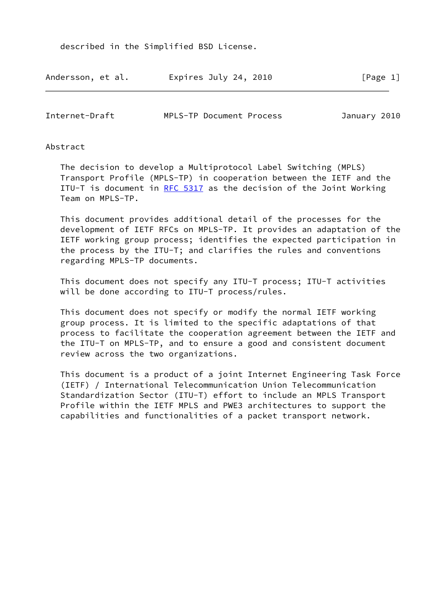described in the Simplified BSD License.

| Andersson, et al. | Expires July 24, 2010 | [Page 1] |
|-------------------|-----------------------|----------|
|-------------------|-----------------------|----------|

| Internet-Draft | MPLS-TP Document Process |  | January 2010 |  |
|----------------|--------------------------|--|--------------|--|
|----------------|--------------------------|--|--------------|--|

### Abstract

 The decision to develop a Multiprotocol Label Switching (MPLS) Transport Profile (MPLS-TP) in cooperation between the IETF and the ITU-T is document in [RFC 5317](https://datatracker.ietf.org/doc/pdf/rfc5317) as the decision of the Joint Working Team on MPLS-TP.

 This document provides additional detail of the processes for the development of IETF RFCs on MPLS-TP. It provides an adaptation of the IETF working group process; identifies the expected participation in the process by the ITU-T; and clarifies the rules and conventions regarding MPLS-TP documents.

 This document does not specify any ITU-T process; ITU-T activities will be done according to ITU-T process/rules.

 This document does not specify or modify the normal IETF working group process. It is limited to the specific adaptations of that process to facilitate the cooperation agreement between the IETF and the ITU-T on MPLS-TP, and to ensure a good and consistent document review across the two organizations.

 This document is a product of a joint Internet Engineering Task Force (IETF) / International Telecommunication Union Telecommunication Standardization Sector (ITU-T) effort to include an MPLS Transport Profile within the IETF MPLS and PWE3 architectures to support the capabilities and functionalities of a packet transport network.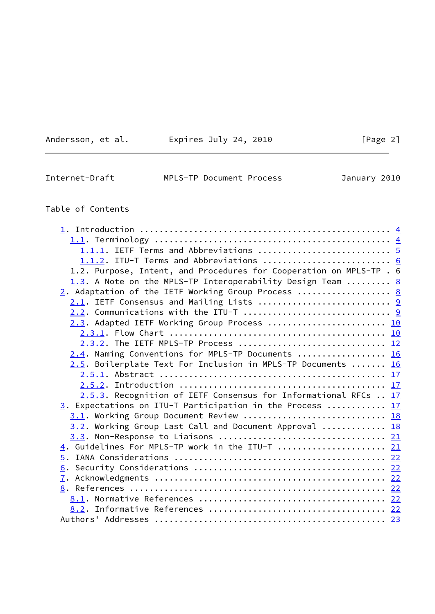| Andersson, et al. |  |
|-------------------|--|
|                   |  |

Expires July 24, 2010  $[Page 2]$ 

 $\overline{\phantom{0}}$ 

| Internet-Draft | MPLS-TP Document Process | January 2010 |  |
|----------------|--------------------------|--------------|--|

# Table of Contents

| 1.1.1. IETF Terms and Abbreviations  5                              |  |
|---------------------------------------------------------------------|--|
| 1.1.2. ITU-T Terms and Abbreviations  6                             |  |
| 1.2. Purpose, Intent, and Procedures for Cooperation on MPLS-TP . 6 |  |
| 1.3. A Note on the MPLS-TP Interoperability Design Team  8          |  |
| 2. Adaptation of the IETF Working Group Process  8                  |  |
| 2.1. IETF Consensus and Mailing Lists  9                            |  |
|                                                                     |  |
| 2.3. Adapted IETF Working Group Process  10                         |  |
|                                                                     |  |
| 2.3.2. The IETF MPLS-TP Process  12                                 |  |
| 2.4. Naming Conventions for MPLS-TP Documents  16                   |  |
| 2.5. Boilerplate Text For Inclusion in MPLS-TP Documents  16        |  |
|                                                                     |  |
|                                                                     |  |
| 2.5.3. Recognition of IETF Consensus for Informational RFCs  17     |  |
| 3. Expectations on ITU-T Participation in the Process  17           |  |
| 3.1. Working Group Document Review  18                              |  |
| 3.2. Working Group Last Call and Document Approval  18              |  |
|                                                                     |  |
| 4. Guidelines For MPLS-TP work in the ITU-T  21                     |  |
|                                                                     |  |
|                                                                     |  |
|                                                                     |  |
|                                                                     |  |
|                                                                     |  |
|                                                                     |  |
|                                                                     |  |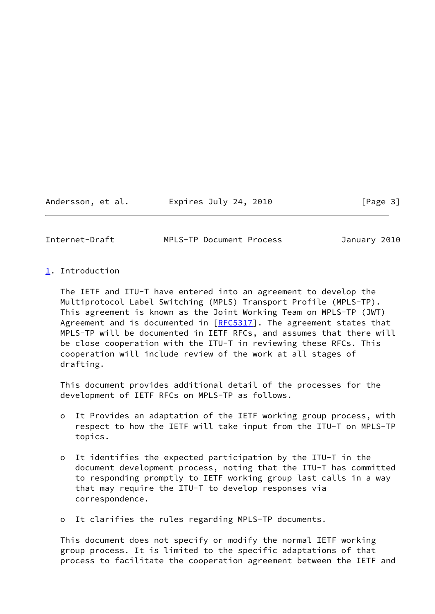Andersson, et al. Expires July 24, 2010 [Page 3]

<span id="page-3-1"></span>Internet-Draft MPLS-TP Document Process January 2010

<span id="page-3-0"></span>[1](#page-3-0). Introduction

 The IETF and ITU-T have entered into an agreement to develop the Multiprotocol Label Switching (MPLS) Transport Profile (MPLS-TP). This agreement is known as the Joint Working Team on MPLS-TP (JWT) Agreement and is documented in  $[REC5317]$ . The agreement states that MPLS-TP will be documented in IETF RFCs, and assumes that there will be close cooperation with the ITU-T in reviewing these RFCs. This cooperation will include review of the work at all stages of drafting.

 This document provides additional detail of the processes for the development of IETF RFCs on MPLS-TP as follows.

- o It Provides an adaptation of the IETF working group process, with respect to how the IETF will take input from the ITU-T on MPLS-TP topics.
- o It identifies the expected participation by the ITU-T in the document development process, noting that the ITU-T has committed to responding promptly to IETF working group last calls in a way that may require the ITU-T to develop responses via correspondence.
- o It clarifies the rules regarding MPLS-TP documents.

 This document does not specify or modify the normal IETF working group process. It is limited to the specific adaptations of that process to facilitate the cooperation agreement between the IETF and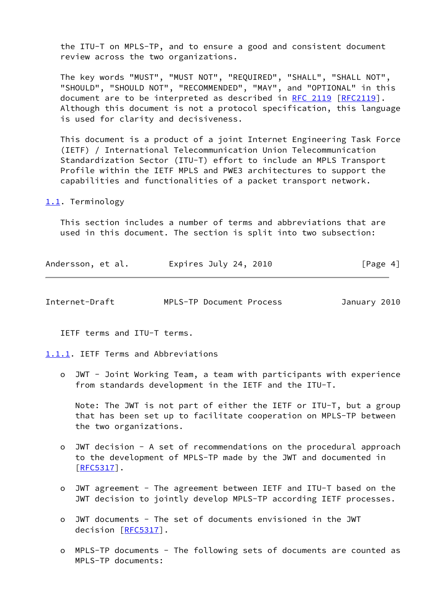the ITU-T on MPLS-TP, and to ensure a good and consistent document review across the two organizations.

 The key words "MUST", "MUST NOT", "REQUIRED", "SHALL", "SHALL NOT", "SHOULD", "SHOULD NOT", "RECOMMENDED", "MAY", and "OPTIONAL" in this document are to be interpreted as described in [RFC 2119 \[RFC2119](https://datatracker.ietf.org/doc/pdf/rfc2119)]. Although this document is not a protocol specification, this language is used for clarity and decisiveness.

 This document is a product of a joint Internet Engineering Task Force (IETF) / International Telecommunication Union Telecommunication Standardization Sector (ITU-T) effort to include an MPLS Transport Profile within the IETF MPLS and PWE3 architectures to support the capabilities and functionalities of a packet transport network.

<span id="page-4-0"></span>[1.1](#page-4-0). Terminology

 This section includes a number of terms and abbreviations that are used in this document. The section is split into two subsection:

| Andersson, et al. | Expires July 24, 2010 | [Page 4] |
|-------------------|-----------------------|----------|
|-------------------|-----------------------|----------|

<span id="page-4-2"></span>

| MPLS-TP Document Process<br>January 2010 | Internet-Draft |  |  |  |  |  |
|------------------------------------------|----------------|--|--|--|--|--|
|------------------------------------------|----------------|--|--|--|--|--|

IETF terms and ITU-T terms.

<span id="page-4-1"></span>[1.1.1](#page-4-1). IETF Terms and Abbreviations

 o JWT - Joint Working Team, a team with participants with experience from standards development in the IETF and the ITU-T.

 Note: The JWT is not part of either the IETF or ITU-T, but a group that has been set up to facilitate cooperation on MPLS-TP between the two organizations.

- o JWT decision A set of recommendations on the procedural approach to the development of MPLS-TP made by the JWT and documented in [[RFC5317\]](https://datatracker.ietf.org/doc/pdf/rfc5317).
- o JWT agreement The agreement between IETF and ITU-T based on the JWT decision to jointly develop MPLS-TP according IETF processes.
- o JWT documents The set of documents envisioned in the JWT decision [\[RFC5317](https://datatracker.ietf.org/doc/pdf/rfc5317)].
- o MPLS-TP documents The following sets of documents are counted as MPLS-TP documents: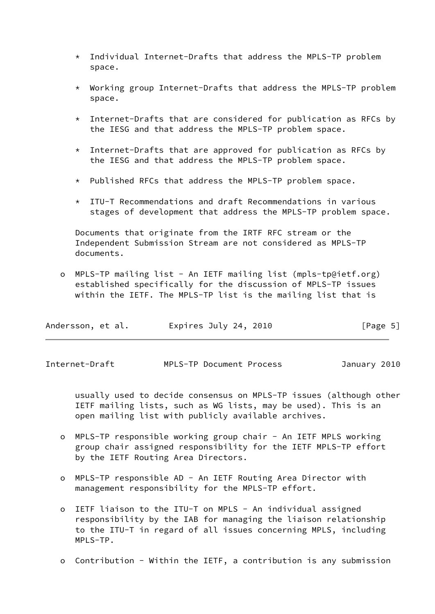- \* Individual Internet-Drafts that address the MPLS-TP problem space.
- \* Working group Internet-Drafts that address the MPLS-TP problem space.
- \* Internet-Drafts that are considered for publication as RFCs by the IESG and that address the MPLS-TP problem space.
- $*$  Internet-Drafts that are approved for publication as RFCs by the IESG and that address the MPLS-TP problem space.
- \* Published RFCs that address the MPLS-TP problem space.
- $*$  ITU-T Recommendations and draft Recommendations in various stages of development that address the MPLS-TP problem space.

 Documents that originate from the IRTF RFC stream or the Independent Submission Stream are not considered as MPLS-TP documents.

 o MPLS-TP mailing list - An IETF mailing list (mpls-tp@ietf.org) established specifically for the discussion of MPLS-TP issues within the IETF. The MPLS-TP list is the mailing list that is

| Andersson, et al. | Expires July 24, 2010 | [Page 5] |
|-------------------|-----------------------|----------|
|-------------------|-----------------------|----------|

<span id="page-5-0"></span>Internet-Draft MPLS-TP Document Process January 2010

 usually used to decide consensus on MPLS-TP issues (although other IETF mailing lists, such as WG lists, may be used). This is an open mailing list with publicly available archives.

- o MPLS-TP responsible working group chair An IETF MPLS working group chair assigned responsibility for the IETF MPLS-TP effort by the IETF Routing Area Directors.
- o MPLS-TP responsible AD An IETF Routing Area Director with management responsibility for the MPLS-TP effort.
- o IETF liaison to the ITU-T on MPLS An individual assigned responsibility by the IAB for managing the liaison relationship to the ITU-T in regard of all issues concerning MPLS, including MPLS-TP.
- o Contribution Within the IETF, a contribution is any submission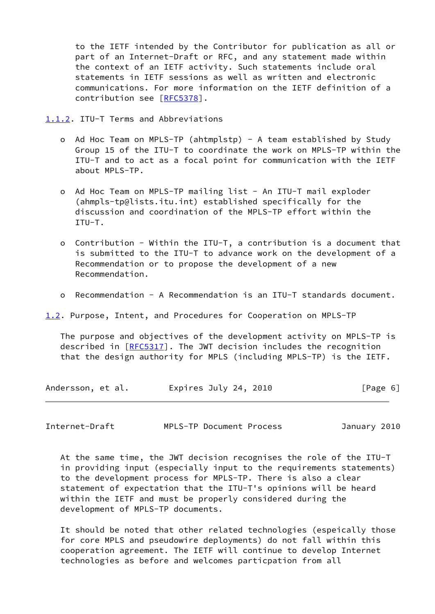to the IETF intended by the Contributor for publication as all or part of an Internet-Draft or RFC, and any statement made within the context of an IETF activity. Such statements include oral statements in IETF sessions as well as written and electronic communications. For more information on the IETF definition of a contribution see [\[RFC5378](https://datatracker.ietf.org/doc/pdf/rfc5378)].

<span id="page-6-0"></span>[1.1.2](#page-6-0). ITU-T Terms and Abbreviations

- o Ad Hoc Team on MPLS-TP (ahtmplstp) A team established by Study Group 15 of the ITU-T to coordinate the work on MPLS-TP within the ITU-T and to act as a focal point for communication with the IETF about MPLS-TP.
- o Ad Hoc Team on MPLS-TP mailing list An ITU-T mail exploder (ahmpls-tp@lists.itu.int) established specifically for the discussion and coordination of the MPLS-TP effort within the ITU-T.
- o Contribution Within the ITU-T, a contribution is a document that is submitted to the ITU-T to advance work on the development of a Recommendation or to propose the development of a new Recommendation.
- o Recommendation A Recommendation is an ITU-T standards document.

<span id="page-6-1"></span>[1.2](#page-6-1). Purpose, Intent, and Procedures for Cooperation on MPLS-TP

 The purpose and objectives of the development activity on MPLS-TP is described in [\[RFC5317](https://datatracker.ietf.org/doc/pdf/rfc5317)]. The JWT decision includes the recognition that the design authority for MPLS (including MPLS-TP) is the IETF.

| Andersson, et al. | Expires July 24, 2010 | [Page 6] |
|-------------------|-----------------------|----------|
|-------------------|-----------------------|----------|

Internet-Draft MPLS-TP Document Process January 2010

 At the same time, the JWT decision recognises the role of the ITU-T in providing input (especially input to the requirements statements) to the development process for MPLS-TP. There is also a clear statement of expectation that the ITU-T's opinions will be heard within the IETF and must be properly considered during the development of MPLS-TP documents.

 It should be noted that other related technologies (espeically those for core MPLS and pseudowire deployments) do not fall within this cooperation agreement. The IETF will continue to develop Internet technologies as before and welcomes particpation from all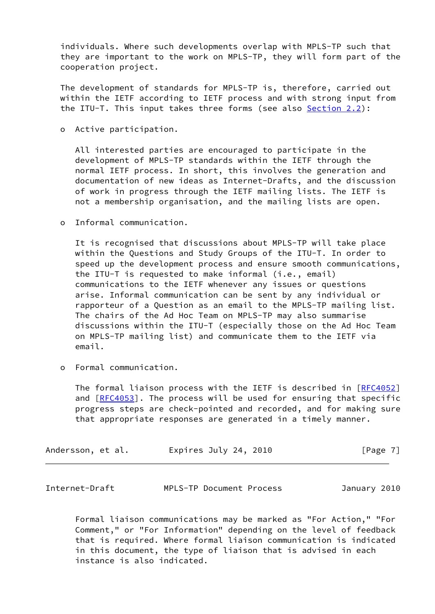individuals. Where such developments overlap with MPLS-TP such that they are important to the work on MPLS-TP, they will form part of the cooperation project.

 The development of standards for MPLS-TP is, therefore, carried out within the IETF according to IETF process and with strong input from the ITU-T. This input takes three forms (see also [Section 2.2](#page-9-2)):

o Active participation.

 All interested parties are encouraged to participate in the development of MPLS-TP standards within the IETF through the normal IETF process. In short, this involves the generation and documentation of new ideas as Internet-Drafts, and the discussion of work in progress through the IETF mailing lists. The IETF is not a membership organisation, and the mailing lists are open.

o Informal communication.

 It is recognised that discussions about MPLS-TP will take place within the Questions and Study Groups of the ITU-T. In order to speed up the development process and ensure smooth communications, the ITU-T is requested to make informal (i.e., email) communications to the IETF whenever any issues or questions arise. Informal communication can be sent by any individual or rapporteur of a Question as an email to the MPLS-TP mailing list. The chairs of the Ad Hoc Team on MPLS-TP may also summarise discussions within the ITU-T (especially those on the Ad Hoc Team on MPLS-TP mailing list) and communicate them to the IETF via email.

o Formal communication.

The formal liaison process with the IETF is described in [\[RFC4052](https://datatracker.ietf.org/doc/pdf/rfc4052)] and [\[RFC4053](https://datatracker.ietf.org/doc/pdf/rfc4053)]. The process will be used for ensuring that specific progress steps are check-pointed and recorded, and for making sure that appropriate responses are generated in a timely manner.

| Andersson, et al.<br>[Page 7]<br>Expires July 24, 2010 |  |
|--------------------------------------------------------|--|
|--------------------------------------------------------|--|

<span id="page-7-0"></span>

| Internet-Draft | MPLS-TP Document Process |  | January 2010 |  |
|----------------|--------------------------|--|--------------|--|
|----------------|--------------------------|--|--------------|--|

 Formal liaison communications may be marked as "For Action," "For Comment," or "For Information" depending on the level of feedback that is required. Where formal liaison communication is indicated in this document, the type of liaison that is advised in each instance is also indicated.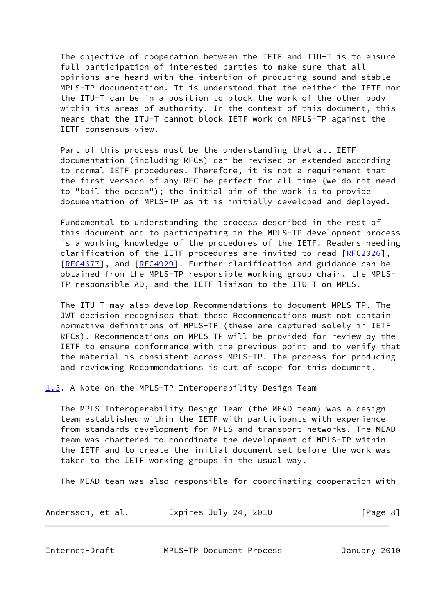The objective of cooperation between the IETF and ITU-T is to ensure full participation of interested parties to make sure that all opinions are heard with the intention of producing sound and stable MPLS-TP documentation. It is understood that the neither the IETF nor the ITU-T can be in a position to block the work of the other body within its areas of authority. In the context of this document, this means that the ITU-T cannot block IETF work on MPLS-TP against the IETF consensus view.

 Part of this process must be the understanding that all IETF documentation (including RFCs) can be revised or extended according to normal IETF procedures. Therefore, it is not a requirement that the first version of any RFC be perfect for all time (we do not need to "boil the ocean"); the initial aim of the work is to provide documentation of MPLS-TP as it is initially developed and deployed.

 Fundamental to understanding the process described in the rest of this document and to participating in the MPLS-TP development process is a working knowledge of the procedures of the IETF. Readers needing clarification of the IETF procedures are invited to read [\[RFC2026](https://datatracker.ietf.org/doc/pdf/rfc2026)], [\[RFC4677](https://datatracker.ietf.org/doc/pdf/rfc4677)], and [\[RFC4929](https://datatracker.ietf.org/doc/pdf/rfc4929)]. Further clarification and guidance can be obtained from the MPLS-TP responsible working group chair, the MPLS- TP responsible AD, and the IETF liaison to the ITU-T on MPLS.

 The ITU-T may also develop Recommendations to document MPLS-TP. The JWT decision recognises that these Recommendations must not contain normative definitions of MPLS-TP (these are captured solely in IETF RFCs). Recommendations on MPLS-TP will be provided for review by the IETF to ensure conformance with the previous point and to verify that the material is consistent across MPLS-TP. The process for producing and reviewing Recommendations is out of scope for this document.

<span id="page-8-0"></span>[1.3](#page-8-0). A Note on the MPLS-TP Interoperability Design Team

 The MPLS Interoperability Design Team (the MEAD team) was a design team established within the IETF with participants with experience from standards development for MPLS and transport networks. The MEAD team was chartered to coordinate the development of MPLS-TP within the IETF and to create the initial document set before the work was taken to the IETF working groups in the usual way.

The MEAD team was also responsible for coordinating cooperation with

| Andersson, et al.<br>Expires July 24, 2010<br>[Page 8] |  |
|--------------------------------------------------------|--|
|--------------------------------------------------------|--|

<span id="page-8-1"></span>Internet-Draft MPLS-TP Document Process January 2010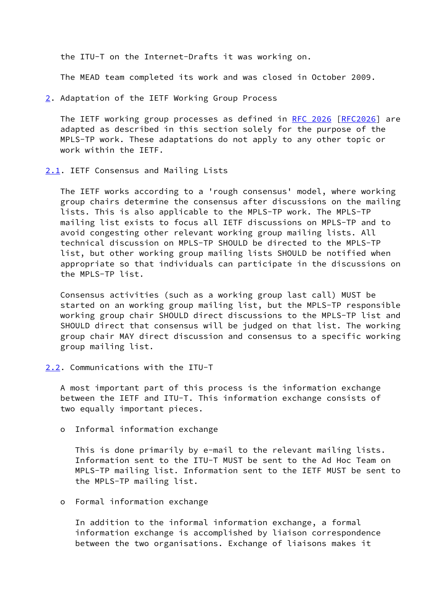the ITU-T on the Internet-Drafts it was working on.

The MEAD team completed its work and was closed in October 2009.

<span id="page-9-0"></span>[2](#page-9-0). Adaptation of the IETF Working Group Process

 The IETF working group processes as defined in [RFC 2026 \[RFC2026](https://datatracker.ietf.org/doc/pdf/rfc2026)] are adapted as described in this section solely for the purpose of the MPLS-TP work. These adaptations do not apply to any other topic or work within the IETF.

<span id="page-9-1"></span>[2.1](#page-9-1). IETF Consensus and Mailing Lists

 The IETF works according to a 'rough consensus' model, where working group chairs determine the consensus after discussions on the mailing lists. This is also applicable to the MPLS-TP work. The MPLS-TP mailing list exists to focus all IETF discussions on MPLS-TP and to avoid congesting other relevant working group mailing lists. All technical discussion on MPLS-TP SHOULD be directed to the MPLS-TP list, but other working group mailing lists SHOULD be notified when appropriate so that individuals can participate in the discussions on the MPLS-TP list.

 Consensus activities (such as a working group last call) MUST be started on an working group mailing list, but the MPLS-TP responsible working group chair SHOULD direct discussions to the MPLS-TP list and SHOULD direct that consensus will be judged on that list. The working group chair MAY direct discussion and consensus to a specific working group mailing list.

<span id="page-9-2"></span>[2.2](#page-9-2). Communications with the ITU-T

 A most important part of this process is the information exchange between the IETF and ITU-T. This information exchange consists of two equally important pieces.

o Informal information exchange

 This is done primarily by e-mail to the relevant mailing lists. Information sent to the ITU-T MUST be sent to the Ad Hoc Team on MPLS-TP mailing list. Information sent to the IETF MUST be sent to the MPLS-TP mailing list.

o Formal information exchange

 In addition to the informal information exchange, a formal information exchange is accomplished by liaison correspondence between the two organisations. Exchange of liaisons makes it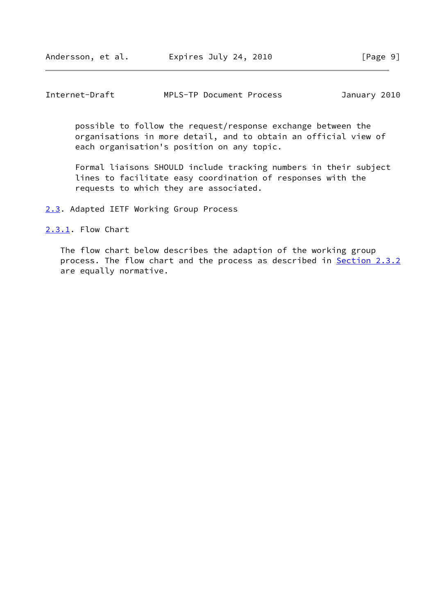<span id="page-10-1"></span>

| Internet-Draft |  | MPLS-TP Document Process |  | January 2010 |  |
|----------------|--|--------------------------|--|--------------|--|
|----------------|--|--------------------------|--|--------------|--|

 possible to follow the request/response exchange between the organisations in more detail, and to obtain an official view of each organisation's position on any topic.

 Formal liaisons SHOULD include tracking numbers in their subject lines to facilitate easy coordination of responses with the requests to which they are associated.

<span id="page-10-0"></span>[2.3](#page-10-0). Adapted IETF Working Group Process

<span id="page-10-2"></span>[2.3.1](#page-10-2). Flow Chart

 The flow chart below describes the adaption of the working group process. The flow chart and the process as described in [Section 2.3.2](#page-12-0) are equally normative.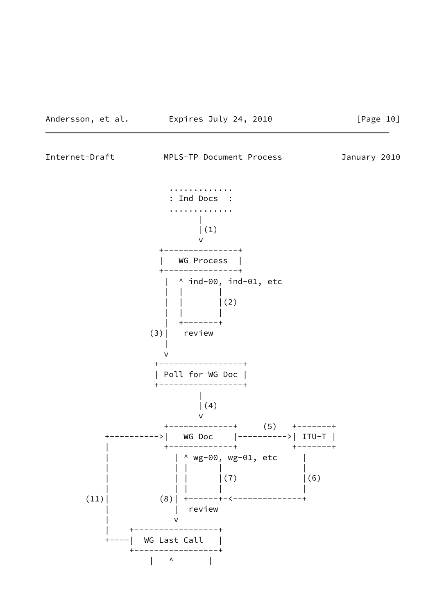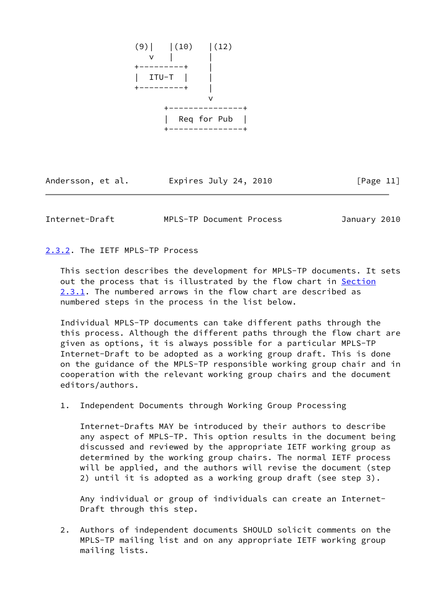

Andersson, et al. Expires July 24, 2010 [Page 11]

<span id="page-12-1"></span>Internet-Draft MPLS-TP Document Process January 2010

<span id="page-12-0"></span>[2.3.2](#page-12-0). The IETF MPLS-TP Process

 This section describes the development for MPLS-TP documents. It sets out the process that is illustrated by the flow chart in [Section](#page-10-2) [2.3.1](#page-10-2). The numbered arrows in the flow chart are described as numbered steps in the process in the list below.

 Individual MPLS-TP documents can take different paths through the this process. Although the different paths through the flow chart are given as options, it is always possible for a particular MPLS-TP Internet-Draft to be adopted as a working group draft. This is done on the guidance of the MPLS-TP responsible working group chair and in cooperation with the relevant working group chairs and the document editors/authors.

1. Independent Documents through Working Group Processing

 Internet-Drafts MAY be introduced by their authors to describe any aspect of MPLS-TP. This option results in the document being discussed and reviewed by the appropriate IETF working group as determined by the working group chairs. The normal IETF process will be applied, and the authors will revise the document (step 2) until it is adopted as a working group draft (see step 3).

 Any individual or group of individuals can create an Internet- Draft through this step.

 2. Authors of independent documents SHOULD solicit comments on the MPLS-TP mailing list and on any appropriate IETF working group mailing lists.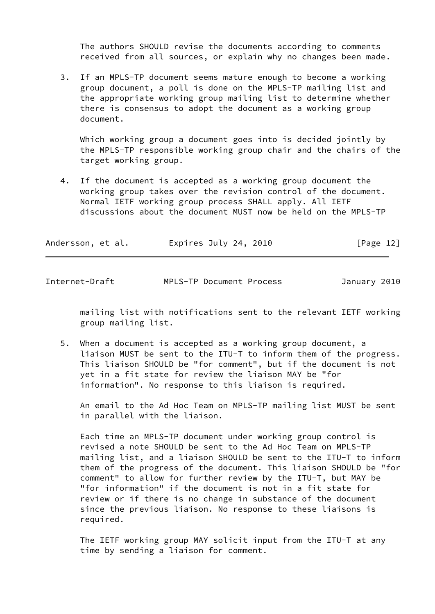The authors SHOULD revise the documents according to comments received from all sources, or explain why no changes been made.

 3. If an MPLS-TP document seems mature enough to become a working group document, a poll is done on the MPLS-TP mailing list and the appropriate working group mailing list to determine whether there is consensus to adopt the document as a working group document.

Which working group a document goes into is decided jointly by the MPLS-TP responsible working group chair and the chairs of the target working group.

 4. If the document is accepted as a working group document the working group takes over the revision control of the document. Normal IETF working group process SHALL apply. All IETF discussions about the document MUST now be held on the MPLS-TP

| Andersson, et al.<br>Expires July 24, 2010 | [Page 12] |
|--------------------------------------------|-----------|
|--------------------------------------------|-----------|

Internet-Draft MPLS-TP Document Process January 2010

 mailing list with notifications sent to the relevant IETF working group mailing list.

 5. When a document is accepted as a working group document, a liaison MUST be sent to the ITU-T to inform them of the progress. This liaison SHOULD be "for comment", but if the document is not yet in a fit state for review the liaison MAY be "for information". No response to this liaison is required.

 An email to the Ad Hoc Team on MPLS-TP mailing list MUST be sent in parallel with the liaison.

 Each time an MPLS-TP document under working group control is revised a note SHOULD be sent to the Ad Hoc Team on MPLS-TP mailing list, and a liaison SHOULD be sent to the ITU-T to inform them of the progress of the document. This liaison SHOULD be "for comment" to allow for further review by the ITU-T, but MAY be "for information" if the document is not in a fit state for review or if there is no change in substance of the document since the previous liaison. No response to these liaisons is required.

 The IETF working group MAY solicit input from the ITU-T at any time by sending a liaison for comment.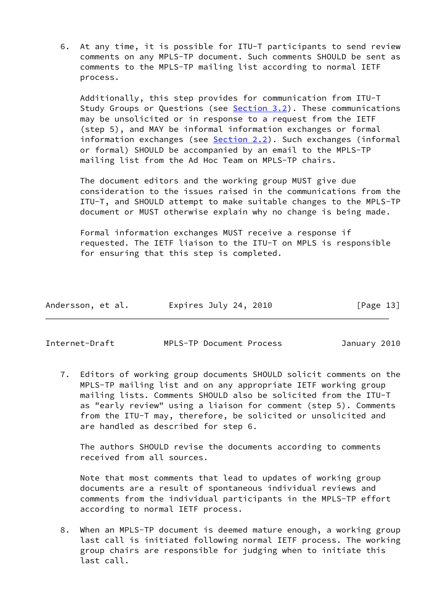6. At any time, it is possible for ITU-T participants to send review comments on any MPLS-TP document. Such comments SHOULD be sent as comments to the MPLS-TP mailing list according to normal IETF process.

 Additionally, this step provides for communication from ITU-T Study Groups or Questions (see [Section 3.2](#page-19-2)). These communications may be unsolicited or in response to a request from the IETF (step 5), and MAY be informal information exchanges or formal information exchanges (see [Section 2.2](#page-9-2)). Such exchanges (informal or formal) SHOULD be accompanied by an email to the MPLS-TP mailing list from the Ad Hoc Team on MPLS-TP chairs.

 The document editors and the working group MUST give due consideration to the issues raised in the communications from the ITU-T, and SHOULD attempt to make suitable changes to the MPLS-TP document or MUST otherwise explain why no change is being made.

 Formal information exchanges MUST receive a response if requested. The IETF liaison to the ITU-T on MPLS is responsible for ensuring that this step is completed.

| Andersson, et al. | Expires July 24, 2010 | [Page 13] |
|-------------------|-----------------------|-----------|
|                   |                       |           |

Internet-Draft MPLS-TP Document Process January 2010

 7. Editors of working group documents SHOULD solicit comments on the MPLS-TP mailing list and on any appropriate IETF working group mailing lists. Comments SHOULD also be solicited from the ITU-T as "early review" using a liaison for comment (step 5). Comments from the ITU-T may, therefore, be solicited or unsolicited and are handled as described for step 6.

 The authors SHOULD revise the documents according to comments received from all sources.

 Note that most comments that lead to updates of working group documents are a result of spontaneous individual reviews and comments from the individual participants in the MPLS-TP effort according to normal IETF process.

 8. When an MPLS-TP document is deemed mature enough, a working group last call is initiated following normal IETF process. The working group chairs are responsible for judging when to initiate this last call.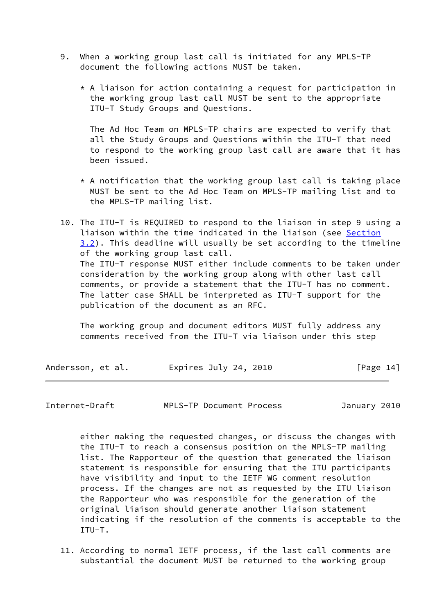- 9. When a working group last call is initiated for any MPLS-TP document the following actions MUST be taken.
	- $*$  A liaison for action containing a request for participation in the working group last call MUST be sent to the appropriate ITU-T Study Groups and Questions.

 The Ad Hoc Team on MPLS-TP chairs are expected to verify that all the Study Groups and Questions within the ITU-T that need to respond to the working group last call are aware that it has been issued.

- \* A notification that the working group last call is taking place MUST be sent to the Ad Hoc Team on MPLS-TP mailing list and to the MPLS-TP mailing list.
- 10. The ITU-T is REQUIRED to respond to the liaison in step 9 using a liaison within the time indicated in the liaison (see [Section](#page-19-2) [3.2\)](#page-19-2). This deadline will usually be set according to the timeline of the working group last call. The ITU-T response MUST either include comments to be taken under consideration by the working group along with other last call comments, or provide a statement that the ITU-T has no comment. The latter case SHALL be interpreted as ITU-T support for the publication of the document as an RFC.

 The working group and document editors MUST fully address any comments received from the ITU-T via liaison under this step

| Andersson, et al. | Expires July 24, 2010 | [Page 14] |
|-------------------|-----------------------|-----------|
|-------------------|-----------------------|-----------|

Internet-Draft MPLS-TP Document Process January 2010

 either making the requested changes, or discuss the changes with the ITU-T to reach a consensus position on the MPLS-TP mailing list. The Rapporteur of the question that generated the liaison statement is responsible for ensuring that the ITU participants have visibility and input to the IETF WG comment resolution process. If the changes are not as requested by the ITU liaison the Rapporteur who was responsible for the generation of the original liaison should generate another liaison statement indicating if the resolution of the comments is acceptable to the ITU-T.

 11. According to normal IETF process, if the last call comments are substantial the document MUST be returned to the working group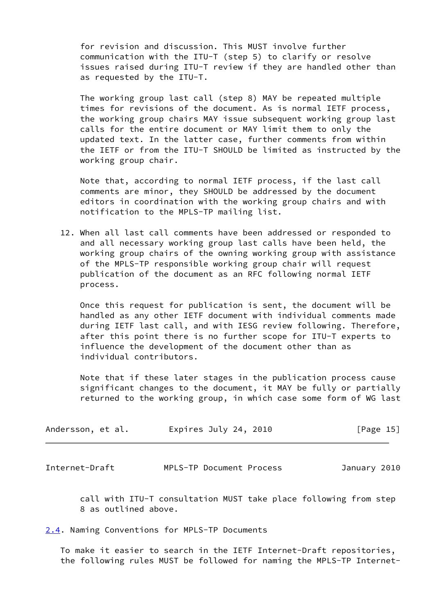for revision and discussion. This MUST involve further communication with the ITU-T (step 5) to clarify or resolve issues raised during ITU-T review if they are handled other than as requested by the ITU-T.

 The working group last call (step 8) MAY be repeated multiple times for revisions of the document. As is normal IETF process, the working group chairs MAY issue subsequent working group last calls for the entire document or MAY limit them to only the updated text. In the latter case, further comments from within the IETF or from the ITU-T SHOULD be limited as instructed by the working group chair.

 Note that, according to normal IETF process, if the last call comments are minor, they SHOULD be addressed by the document editors in coordination with the working group chairs and with notification to the MPLS-TP mailing list.

 12. When all last call comments have been addressed or responded to and all necessary working group last calls have been held, the working group chairs of the owning working group with assistance of the MPLS-TP responsible working group chair will request publication of the document as an RFC following normal IETF process.

 Once this request for publication is sent, the document will be handled as any other IETF document with individual comments made during IETF last call, and with IESG review following. Therefore, after this point there is no further scope for ITU-T experts to influence the development of the document other than as individual contributors.

 Note that if these later stages in the publication process cause significant changes to the document, it MAY be fully or partially returned to the working group, in which case some form of WG last

| Andersson, et al. | Expires July 24, 2010 | [Page 15] |
|-------------------|-----------------------|-----------|
|-------------------|-----------------------|-----------|

<span id="page-16-1"></span>Internet-Draft MPLS-TP Document Process January 2010

 call with ITU-T consultation MUST take place following from step 8 as outlined above.

<span id="page-16-0"></span>[2.4](#page-16-0). Naming Conventions for MPLS-TP Documents

 To make it easier to search in the IETF Internet-Draft repositories, the following rules MUST be followed for naming the MPLS-TP Internet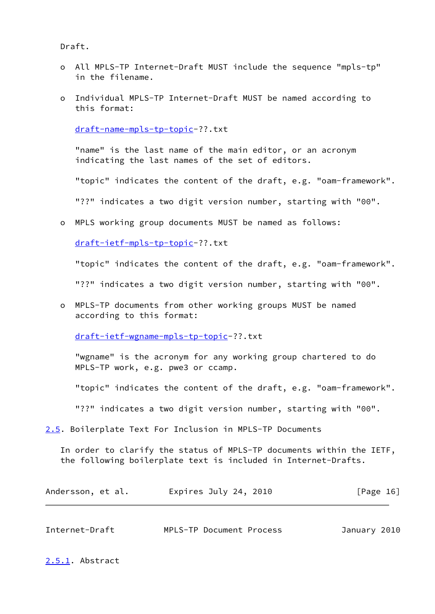Draft.

- o All MPLS-TP Internet-Draft MUST include the sequence "mpls-tp" in the filename.
- o Individual MPLS-TP Internet-Draft MUST be named according to this format:

[draft-name-mpls-tp-topic-](https://datatracker.ietf.org/doc/pdf/draft-name-mpls-tp-topic)??.txt

 "name" is the last name of the main editor, or an acronym indicating the last names of the set of editors.

"topic" indicates the content of the draft, e.g. "oam-framework".

"??" indicates a two digit version number, starting with "00".

o MPLS working group documents MUST be named as follows:

[draft-ietf-mpls-tp-topic-](https://datatracker.ietf.org/doc/pdf/draft-ietf-mpls-tp-topic)??.txt

"topic" indicates the content of the draft, e.g. "oam-framework".

"??" indicates a two digit version number, starting with "00".

 o MPLS-TP documents from other working groups MUST be named according to this format:

[draft-ietf-wgname-mpls-tp-topic](https://datatracker.ietf.org/doc/pdf/draft-ietf-wgname-mpls-tp-topic)-??.txt

 "wgname" is the acronym for any working group chartered to do MPLS-TP work, e.g. pwe3 or ccamp.

"topic" indicates the content of the draft, e.g. "oam-framework".

"??" indicates a two digit version number, starting with "00".

<span id="page-17-0"></span>[2.5](#page-17-0). Boilerplate Text For Inclusion in MPLS-TP Documents

 In order to clarify the status of MPLS-TP documents within the IETF, the following boilerplate text is included in Internet-Drafts.

| Andersson, et al. | Expires July 24, 2010 | [Page 16] |
|-------------------|-----------------------|-----------|
|-------------------|-----------------------|-----------|

<span id="page-17-2"></span>

| Internet-Draft |  | MPLS-TP Document Process | January 2010 |  |
|----------------|--|--------------------------|--------------|--|
|----------------|--|--------------------------|--------------|--|

<span id="page-17-1"></span>[2.5.1](#page-17-1). Abstract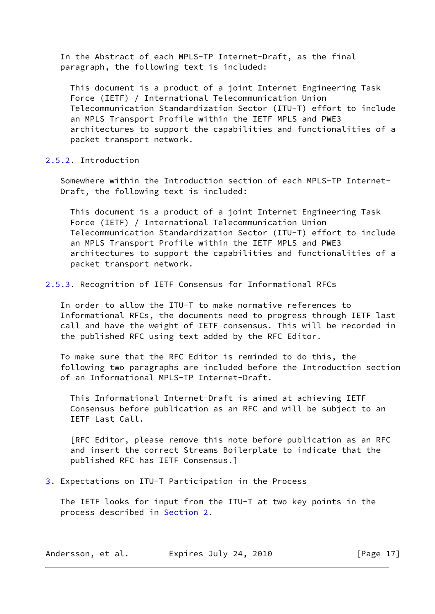In the Abstract of each MPLS-TP Internet-Draft, as the final paragraph, the following text is included:

 This document is a product of a joint Internet Engineering Task Force (IETF) / International Telecommunication Union Telecommunication Standardization Sector (ITU-T) effort to include an MPLS Transport Profile within the IETF MPLS and PWE3 architectures to support the capabilities and functionalities of a packet transport network.

## <span id="page-18-0"></span>[2.5.2](#page-18-0). Introduction

 Somewhere within the Introduction section of each MPLS-TP Internet- Draft, the following text is included:

 This document is a product of a joint Internet Engineering Task Force (IETF) / International Telecommunication Union Telecommunication Standardization Sector (ITU-T) effort to include an MPLS Transport Profile within the IETF MPLS and PWE3 architectures to support the capabilities and functionalities of a packet transport network.

<span id="page-18-1"></span>[2.5.3](#page-18-1). Recognition of IETF Consensus for Informational RFCs

 In order to allow the ITU-T to make normative references to Informational RFCs, the documents need to progress through IETF last call and have the weight of IETF consensus. This will be recorded in the published RFC using text added by the RFC Editor.

 To make sure that the RFC Editor is reminded to do this, the following two paragraphs are included before the Introduction section of an Informational MPLS-TP Internet-Draft.

 This Informational Internet-Draft is aimed at achieving IETF Consensus before publication as an RFC and will be subject to an IETF Last Call.

 [RFC Editor, please remove this note before publication as an RFC and insert the correct Streams Boilerplate to indicate that the published RFC has IETF Consensus.]

#### <span id="page-18-2"></span>[3](#page-18-2). Expectations on ITU-T Participation in the Process

 The IETF looks for input from the ITU-T at two key points in the process described in **Section 2.** 

| Andersson, et al. | Expires July 24, 2010 | [Page 17] |
|-------------------|-----------------------|-----------|
|-------------------|-----------------------|-----------|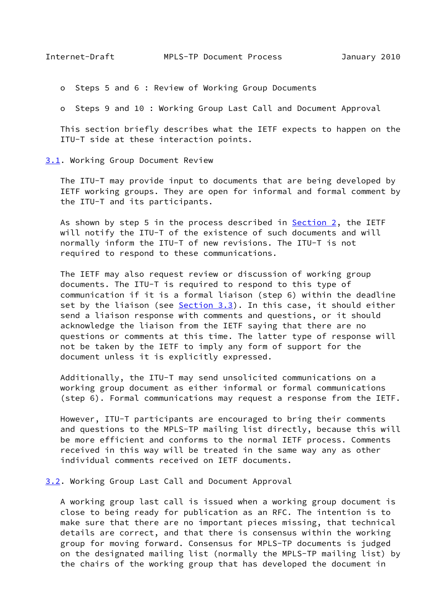<span id="page-19-1"></span>o Steps 5 and 6 : Review of Working Group Documents

o Steps 9 and 10 : Working Group Last Call and Document Approval

 This section briefly describes what the IETF expects to happen on the ITU-T side at these interaction points.

<span id="page-19-0"></span>[3.1](#page-19-0). Working Group Document Review

 The ITU-T may provide input to documents that are being developed by IETF working groups. They are open for informal and formal comment by the ITU-T and its participants.

 As shown by step 5 in the process described in [Section 2,](#page-9-0) the IETF will notify the ITU-T of the existence of such documents and will normally inform the ITU-T of new revisions. The ITU-T is not required to respond to these communications.

 The IETF may also request review or discussion of working group documents. The ITU-T is required to respond to this type of communication if it is a formal liaison (step 6) within the deadline set by the liaison (see [Section 3.3](#page-22-0)). In this case, it should either send a liaison response with comments and questions, or it should acknowledge the liaison from the IETF saying that there are no questions or comments at this time. The latter type of response will not be taken by the IETF to imply any form of support for the document unless it is explicitly expressed.

 Additionally, the ITU-T may send unsolicited communications on a working group document as either informal or formal communications (step 6). Formal communications may request a response from the IETF.

 However, ITU-T participants are encouraged to bring their comments and questions to the MPLS-TP mailing list directly, because this will be more efficient and conforms to the normal IETF process. Comments received in this way will be treated in the same way any as other individual comments received on IETF documents.

<span id="page-19-2"></span>[3.2](#page-19-2). Working Group Last Call and Document Approval

 A working group last call is issued when a working group document is close to being ready for publication as an RFC. The intention is to make sure that there are no important pieces missing, that technical details are correct, and that there is consensus within the working group for moving forward. Consensus for MPLS-TP documents is judged on the designated mailing list (normally the MPLS-TP mailing list) by the chairs of the working group that has developed the document in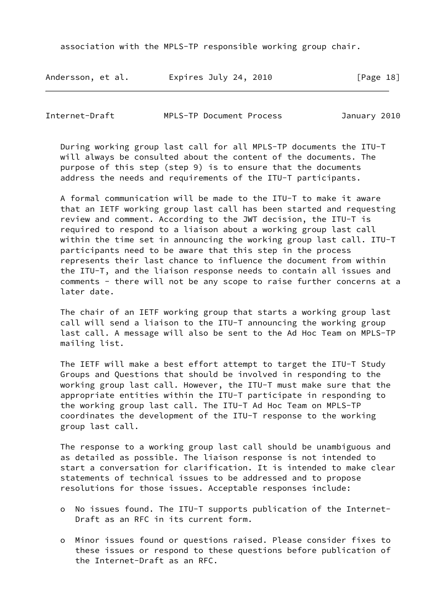association with the MPLS-TP responsible working group chair.

| Andersson, et al. | Expires July 24, 2010 | [Page 18] |
|-------------------|-----------------------|-----------|
|-------------------|-----------------------|-----------|

Internet-Draft MPLS-TP Document Process January 2010

 During working group last call for all MPLS-TP documents the ITU-T will always be consulted about the content of the documents. The purpose of this step (step 9) is to ensure that the documents address the needs and requirements of the ITU-T participants.

 A formal communication will be made to the ITU-T to make it aware that an IETF working group last call has been started and requesting review and comment. According to the JWT decision, the ITU-T is required to respond to a liaison about a working group last call within the time set in announcing the working group last call. ITU-T participants need to be aware that this step in the process represents their last chance to influence the document from within the ITU-T, and the liaison response needs to contain all issues and comments - there will not be any scope to raise further concerns at a later date.

 The chair of an IETF working group that starts a working group last call will send a liaison to the ITU-T announcing the working group last call. A message will also be sent to the Ad Hoc Team on MPLS-TP mailing list.

 The IETF will make a best effort attempt to target the ITU-T Study Groups and Questions that should be involved in responding to the working group last call. However, the ITU-T must make sure that the appropriate entities within the ITU-T participate in responding to the working group last call. The ITU-T Ad Hoc Team on MPLS-TP coordinates the development of the ITU-T response to the working group last call.

 The response to a working group last call should be unambiguous and as detailed as possible. The liaison response is not intended to start a conversation for clarification. It is intended to make clear statements of technical issues to be addressed and to propose resolutions for those issues. Acceptable responses include:

- o No issues found. The ITU-T supports publication of the Internet- Draft as an RFC in its current form.
- o Minor issues found or questions raised. Please consider fixes to these issues or respond to these questions before publication of the Internet-Draft as an RFC.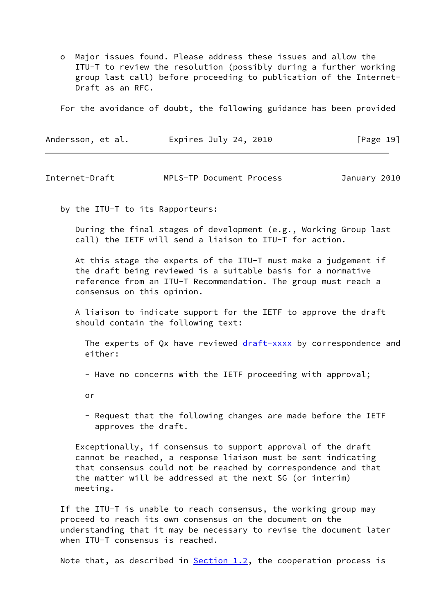o Major issues found. Please address these issues and allow the ITU-T to review the resolution (possibly during a further working group last call) before proceeding to publication of the Internet- Draft as an RFC.

For the avoidance of doubt, the following guidance has been provided

| Andersson, et al. | Expires July 24, 2010 | [Page 19] |
|-------------------|-----------------------|-----------|
|-------------------|-----------------------|-----------|

Internet-Draft MPLS-TP Document Process January 2010

by the ITU-T to its Rapporteurs:

 During the final stages of development (e.g., Working Group last call) the IETF will send a liaison to ITU-T for action.

 At this stage the experts of the ITU-T must make a judgement if the draft being reviewed is a suitable basis for a normative reference from an ITU-T Recommendation. The group must reach a consensus on this opinion.

 A liaison to indicate support for the IETF to approve the draft should contain the following text:

The experts of Qx have reviewed [draft-xxxx](https://datatracker.ietf.org/doc/pdf/draft-xxxx) by correspondence and either:

- Have no concerns with the IETF proceeding with approval;

or

 - Request that the following changes are made before the IETF approves the draft.

 Exceptionally, if consensus to support approval of the draft cannot be reached, a response liaison must be sent indicating that consensus could not be reached by correspondence and that the matter will be addressed at the next SG (or interim) meeting.

 If the ITU-T is unable to reach consensus, the working group may proceed to reach its own consensus on the document on the understanding that it may be necessary to revise the document later when ITU-T consensus is reached.

Note that, as described in  $Section 1.2$ , the cooperation process is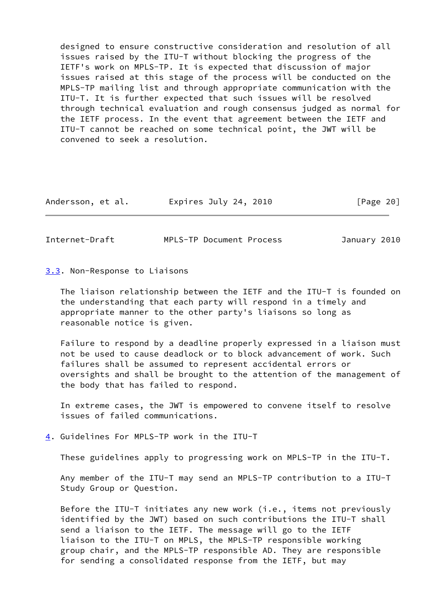designed to ensure constructive consideration and resolution of all issues raised by the ITU-T without blocking the progress of the IETF's work on MPLS-TP. It is expected that discussion of major issues raised at this stage of the process will be conducted on the MPLS-TP mailing list and through appropriate communication with the ITU-T. It is further expected that such issues will be resolved through technical evaluation and rough consensus judged as normal for the IETF process. In the event that agreement between the IETF and ITU-T cannot be reached on some technical point, the JWT will be convened to seek a resolution.

| Andersson, et al. | Expires July 24, 2010 | [Page 20] |
|-------------------|-----------------------|-----------|
|-------------------|-----------------------|-----------|

<span id="page-22-1"></span>Internet-Draft MPLS-TP Document Process January 2010

<span id="page-22-0"></span>[3.3](#page-22-0). Non-Response to Liaisons

 The liaison relationship between the IETF and the ITU-T is founded on the understanding that each party will respond in a timely and appropriate manner to the other party's liaisons so long as reasonable notice is given.

 Failure to respond by a deadline properly expressed in a liaison must not be used to cause deadlock or to block advancement of work. Such failures shall be assumed to represent accidental errors or oversights and shall be brought to the attention of the management of the body that has failed to respond.

 In extreme cases, the JWT is empowered to convene itself to resolve issues of failed communications.

<span id="page-22-2"></span>[4](#page-22-2). Guidelines For MPLS-TP work in the ITU-T

These guidelines apply to progressing work on MPLS-TP in the ITU-T.

 Any member of the ITU-T may send an MPLS-TP contribution to a ITU-T Study Group or Question.

 Before the ITU-T initiates any new work (i.e., items not previously identified by the JWT) based on such contributions the ITU-T shall send a liaison to the IETF. The message will go to the IETF liaison to the ITU-T on MPLS, the MPLS-TP responsible working group chair, and the MPLS-TP responsible AD. They are responsible for sending a consolidated response from the IETF, but may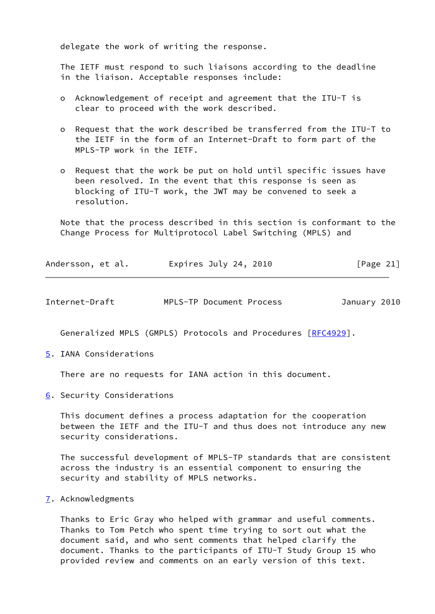delegate the work of writing the response.

 The IETF must respond to such liaisons according to the deadline in the liaison. Acceptable responses include:

- o Acknowledgement of receipt and agreement that the ITU-T is clear to proceed with the work described.
- o Request that the work described be transferred from the ITU-T to the IETF in the form of an Internet-Draft to form part of the MPLS-TP work in the IETF.
- o Request that the work be put on hold until specific issues have been resolved. In the event that this response is seen as blocking of ITU-T work, the JWT may be convened to seek a resolution.

 Note that the process described in this section is conformant to the Change Process for Multiprotocol Label Switching (MPLS) and

| Andersson, et al. | Expires July 24, 2010 |  | [Page 21] |  |
|-------------------|-----------------------|--|-----------|--|
|                   |                       |  |           |  |

<span id="page-23-1"></span>

| Internet-Draft |  | MPLS-TP Document Process |  | January 2010 |  |
|----------------|--|--------------------------|--|--------------|--|
|----------------|--|--------------------------|--|--------------|--|

Generalized MPLS (GMPLS) Protocols and Procedures [[RFC4929](https://datatracker.ietf.org/doc/pdf/rfc4929)].

<span id="page-23-0"></span>[5](#page-23-0). IANA Considerations

There are no requests for IANA action in this document.

<span id="page-23-2"></span>[6](#page-23-2). Security Considerations

 This document defines a process adaptation for the cooperation between the IETF and the ITU-T and thus does not introduce any new security considerations.

 The successful development of MPLS-TP standards that are consistent across the industry is an essential component to ensuring the security and stability of MPLS networks.

<span id="page-23-3"></span>[7](#page-23-3). Acknowledgments

 Thanks to Eric Gray who helped with grammar and useful comments. Thanks to Tom Petch who spent time trying to sort out what the document said, and who sent comments that helped clarify the document. Thanks to the participants of ITU-T Study Group 15 who provided review and comments on an early version of this text.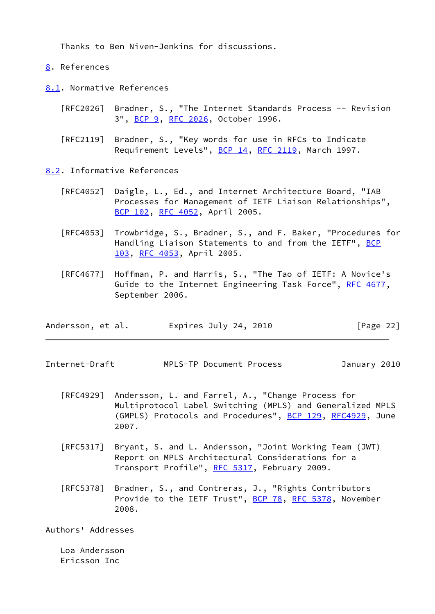Thanks to Ben Niven-Jenkins for discussions.

<span id="page-24-0"></span>[8](#page-24-0). References

<span id="page-24-1"></span>[8.1](#page-24-1). Normative References

 [RFC2026] Bradner, S., "The Internet Standards Process -- Revision 3", [BCP 9,](https://datatracker.ietf.org/doc/pdf/bcp9) [RFC 2026](https://datatracker.ietf.org/doc/pdf/rfc2026), October 1996.

 [RFC2119] Bradner, S., "Key words for use in RFCs to Indicate Requirement Levels", [BCP 14](https://datatracker.ietf.org/doc/pdf/bcp14), [RFC 2119](https://datatracker.ietf.org/doc/pdf/rfc2119), March 1997.

<span id="page-24-2"></span>[8.2](#page-24-2). Informative References

- [RFC4052] Daigle, L., Ed., and Internet Architecture Board, "IAB Processes for Management of IETF Liaison Relationships", [BCP 102](https://datatracker.ietf.org/doc/pdf/bcp102), [RFC 4052,](https://datatracker.ietf.org/doc/pdf/rfc4052) April 2005.
- [RFC4053] Trowbridge, S., Bradner, S., and F. Baker, "Procedures for Handling Liaison Statements to and from the IETF", [BCP](https://datatracker.ietf.org/doc/pdf/bcp103) [103](https://datatracker.ietf.org/doc/pdf/bcp103), [RFC 4053](https://datatracker.ietf.org/doc/pdf/rfc4053), April 2005.
- [RFC4677] Hoffman, P. and Harris, S., "The Tao of IETF: A Novice's Guide to the Internet Engineering Task Force", [RFC 4677](https://datatracker.ietf.org/doc/pdf/rfc4677), September 2006.

| Andersson, et al. | Expires July 24, 2010 | [Page 22] |
|-------------------|-----------------------|-----------|
|-------------------|-----------------------|-----------|

<span id="page-24-3"></span>Internet-Draft MPLS-TP Document Process January 2010

- [RFC4929] Andersson, L. and Farrel, A., "Change Process for Multiprotocol Label Switching (MPLS) and Generalized MPLS (GMPLS) Protocols and Procedures", [BCP 129](https://datatracker.ietf.org/doc/pdf/bcp129), [RFC4929](https://datatracker.ietf.org/doc/pdf/rfc4929), June 2007.
- [RFC5317] Bryant, S. and L. Andersson, "Joint Working Team (JWT) Report on MPLS Architectural Considerations for a Transport Profile", [RFC 5317,](https://datatracker.ietf.org/doc/pdf/rfc5317) February 2009.
- [RFC5378] Bradner, S., and Contreras, J., "Rights Contributors Provide to the IETF Trust", [BCP 78](https://datatracker.ietf.org/doc/pdf/bcp78), [RFC 5378,](https://datatracker.ietf.org/doc/pdf/rfc5378) November 2008.

Authors' Addresses

 Loa Andersson Ericsson Inc